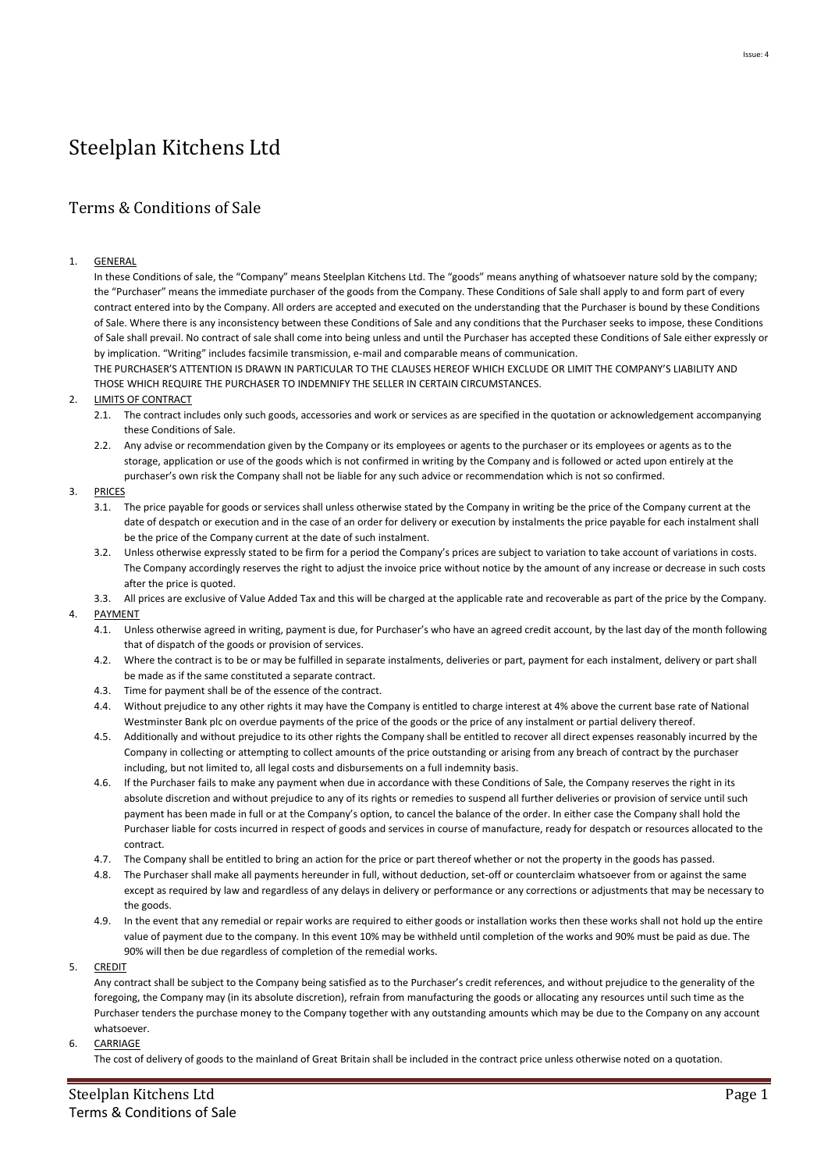# Steelplan Kitchens Ltd

# Terms & Conditions of Sale

# 1. GENERAL

In these Conditions of sale, the "Company" means Steelplan Kitchens Ltd. The "goods" means anything of whatsoever nature sold by the company; the "Purchaser" means the immediate purchaser of the goods from the Company. These Conditions of Sale shall apply to and form part of every contract entered into by the Company. All orders are accepted and executed on the understanding that the Purchaser is bound by these Conditions of Sale. Where there is any inconsistency between these Conditions of Sale and any conditions that the Purchaser seeks to impose, these Conditions of Sale shall prevail. No contract of sale shall come into being unless and until the Purchaser has accepted these Conditions of Sale either expressly or by implication. "Writing" includes facsimile transmission, e-mail and comparable means of communication.

THE PURCHASER'S ATTENTION IS DRAWN IN PARTICULAR TO THE CLAUSES HEREOF WHICH EXCLUDE OR LIMIT THE COMPANY'S LIABILITY AND THOSE WHICH REQUIRE THE PURCHASER TO INDEMNIFY THE SELLER IN CERTAIN CIRCUMSTANCES.

# 2. **LIMITS OF CONTRACT**

- 2.1. The contract includes only such goods, accessories and work or services as are specified in the quotation or acknowledgement accompanying these Conditions of Sale.
- 2.2. Any advise or recommendation given by the Company or its employees or agents to the purchaser or its employees or agents as to the storage, application or use of the goods which is not confirmed in writing by the Company and is followed or acted upon entirely at the purchaser's own risk the Company shall not be liable for any such advice or recommendation which is not so confirmed.

# 3. PRICES

- 3.1. The price payable for goods or services shall unless otherwise stated by the Company in writing be the price of the Company current at the date of despatch or execution and in the case of an order for delivery or execution by instalments the price payable for each instalment shall be the price of the Company current at the date of such instalment.
- 3.2. Unless otherwise expressly stated to be firm for a period the Company's prices are subject to variation to take account of variations in costs. The Company accordingly reserves the right to adjust the invoice price without notice by the amount of any increase or decrease in such costs after the price is quoted.
- 3.3. All prices are exclusive of Value Added Tax and this will be charged at the applicable rate and recoverable as part of the price by the Company.

# 4. PAYMENT

- 4.1. Unless otherwise agreed in writing, payment is due, for Purchaser's who have an agreed credit account, by the last day of the month following that of dispatch of the goods or provision of services.
- 4.2. Where the contract is to be or may be fulfilled in separate instalments, deliveries or part, payment for each instalment, delivery or part shall be made as if the same constituted a separate contract.
- 4.3. Time for payment shall be of the essence of the contract.
- 4.4. Without prejudice to any other rights it may have the Company is entitled to charge interest at 4% above the current base rate of National Westminster Bank plc on overdue payments of the price of the goods or the price of any instalment or partial delivery thereof.
- 4.5. Additionally and without prejudice to its other rights the Company shall be entitled to recover all direct expenses reasonably incurred by the Company in collecting or attempting to collect amounts of the price outstanding or arising from any breach of contract by the purchaser including, but not limited to, all legal costs and disbursements on a full indemnity basis.
- 4.6. If the Purchaser fails to make any payment when due in accordance with these Conditions of Sale, the Company reserves the right in its absolute discretion and without prejudice to any of its rights or remedies to suspend all further deliveries or provision of service until such payment has been made in full or at the Company's option, to cancel the balance of the order. In either case the Company shall hold the Purchaser liable for costs incurred in respect of goods and services in course of manufacture, ready for despatch or resources allocated to the contract.
- 4.7. The Company shall be entitled to bring an action for the price or part thereof whether or not the property in the goods has passed.
- 4.8. The Purchaser shall make all payments hereunder in full, without deduction, set-off or counterclaim whatsoever from or against the same except as required by law and regardless of any delays in delivery or performance or any corrections or adjustments that may be necessary to the goods.
- 4.9. In the event that any remedial or repair works are required to either goods or installation works then these works shall not hold up the entire value of payment due to the company. In this event 10% may be withheld until completion of the works and 90% must be paid as due. The 90% will then be due regardless of completion of the remedial works.

5. CREDIT

Any contract shall be subject to the Company being satisfied as to the Purchaser's credit references, and without prejudice to the generality of the foregoing, the Company may (in its absolute discretion), refrain from manufacturing the goods or allocating any resources until such time as the Purchaser tenders the purchase money to the Company together with any outstanding amounts which may be due to the Company on any account whatsoever.

#### 6. CARRIAGE

The cost of delivery of goods to the mainland of Great Britain shall be included in the contract price unless otherwise noted on a quotation.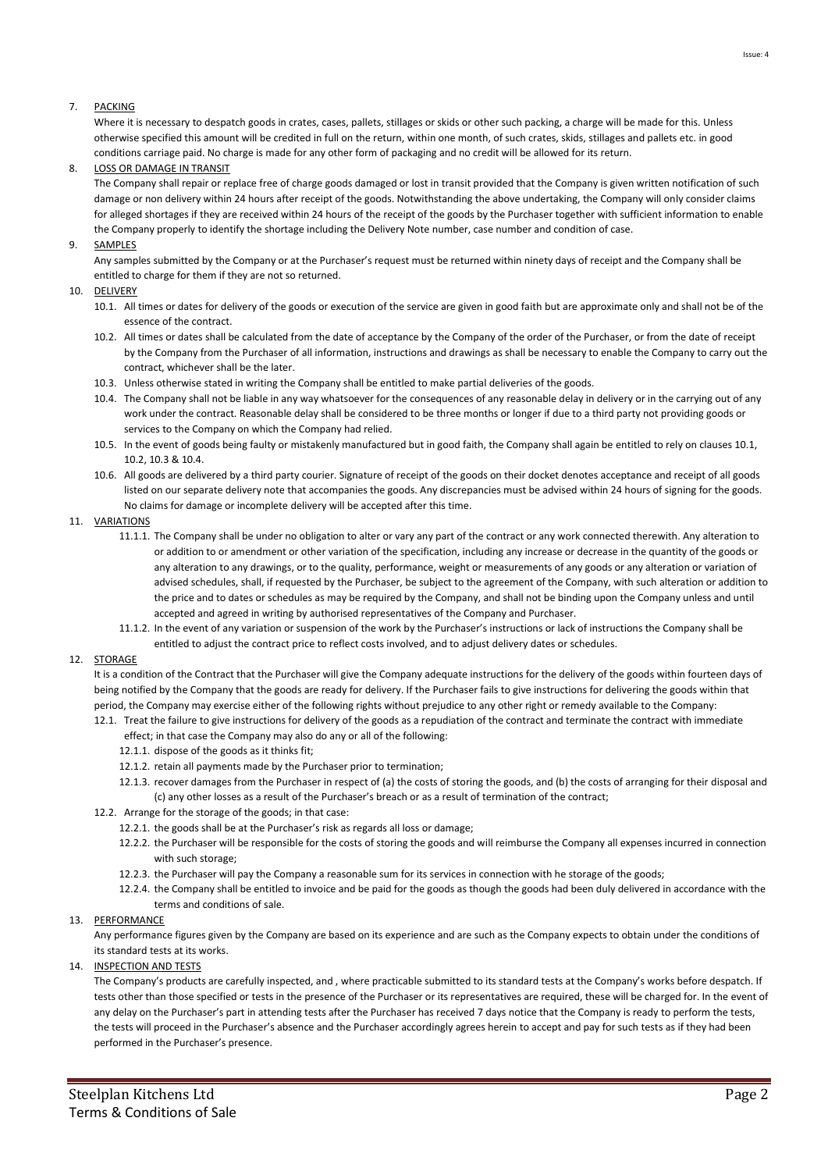# 7. PACKING

Where it is necessary to despatch goods in crates, cases, pallets, stillages or skids or other such packing, a charge will be made for this. Unless otherwise specified this amount will be credited in full on the return, within one month, of such crates, skids, stillages and pallets etc. in good conditions carriage paid. No charge is made for any other form of packaging and no credit will be allowed for its return.

# 8. LOSS OR DAMAGE IN TRANSIT

The Company shall repair or replace free of charge goods damaged or lost in transit provided that the Company is given written notification of such damage or non delivery within 24 hours after receipt of the goods. Notwithstanding the above undertaking, the Company will only consider claims for alleged shortages if they are received within 24 hours of the receipt of the goods by the Purchaser together with sufficient information to enable the Company properly to identify the shortage including the Delivery Note number, case number and condition of case.

# 9. SAMPLES

Any samples submitted by the Company or at the Purchaser's request must be returned within ninety days of receipt and the Company shall be entitled to charge for them if they are not so returned.

#### 10. DELIVERY

- 10.1. All times or dates for delivery of the goods or execution of the service are given in good faith but are approximate only and shall not be of the essence of the contract.
- 10.2. All times or dates shall be calculated from the date of acceptance by the Company of the order of the Purchaser, or from the date of receipt by the Company from the Purchaser of all information, instructions and drawings as shall be necessary to enable the Company to carry out the contract, whichever shall be the later.
- 10.3. Unless otherwise stated in writing the Company shall be entitled to make partial deliveries of the goods.
- 10.4. The Company shall not be liable in any way whatsoever for the consequences of any reasonable delay in delivery or in the carrying out of any work under the contract. Reasonable delay shall be considered to be three months or longer if due to a third party not providing goods or services to the Company on which the Company had relied.
- 10.5. In the event of goods being faulty or mistakenly manufactured but in good faith, the Company shall again be entitled to rely on clauses 10.1, 10.2, 10.3 & 10.4.
- 10.6. All goods are delivered by a third party courier. Signature of receipt of the goods on their docket denotes acceptance and receipt of all goods listed on our separate delivery note that accompanies the goods. Any discrepancies must be advised within 24 hours of signing for the goods. No claims for damage or incomplete delivery will be accepted after this time.

# 11. VARIATIONS

- 11.1.1. The Company shall be under no obligation to alter or vary any part of the contract or any work connected therewith. Any alteration to or addition to or amendment or other variation of the specification, including any increase or decrease in the quantity of the goods or any alteration to any drawings, or to the quality, performance, weight or measurements of any goods or any alteration or variation of advised schedules, shall, if requested by the Purchaser, be subject to the agreement of the Company, with such alteration or addition to the price and to dates or schedules as may be required by the Company, and shall not be binding upon the Company unless and until accepted and agreed in writing by authorised representatives of the Company and Purchaser.
- 11.1.2. In the event of any variation or suspension of the work by the Purchaser's instructions or lack of instructions the Company shall be entitled to adjust the contract price to reflect costs involved, and to adjust delivery dates or schedules.

#### 12. STORAGE

It is a condition of the Contract that the Purchaser will give the Company adequate instructions for the delivery of the goods within fourteen days of being notified by the Company that the goods are ready for delivery. If the Purchaser fails to give instructions for delivering the goods within that period, the Company may exercise either of the following rights without prejudice to any other right or remedy available to the Company:

- 12.1. Treat the failure to give instructions for delivery of the goods as a repudiation of the contract and terminate the contract with immediate effect; in that case the Company may also do any or all of the following:
	- 12.1.1. dispose of the goods as it thinks fit;
	- 12.1.2. retain all payments made by the Purchaser prior to termination;
	- 12.1.3. recover damages from the Purchaser in respect of (a) the costs of storing the goods, and (b) the costs of arranging for their disposal and (c) any other losses as a result of the Purchaser's breach or as a result of termination of the contract;
- 12.2. Arrange for the storage of the goods; in that case:
	- 12.2.1. the goods shall be at the Purchaser's risk as regards all loss or damage;
	- 12.2.2. the Purchaser will be responsible for the costs of storing the goods and will reimburse the Company all expenses incurred in connection with such storage;
	- 12.2.3. the Purchaser will pay the Company a reasonable sum for its services in connection with he storage of the goods;
	- 12.2.4. the Company shall be entitled to invoice and be paid for the goods as though the goods had been duly delivered in accordance with the terms and conditions of sale.

#### 13. PERFORMANCE

Any performance figures given by the Company are based on its experience and are such as the Company expects to obtain under the conditions of its standard tests at its works.

# 14. INSPECTION AND TESTS

The Company's products are carefully inspected, and , where practicable submitted to its standard tests at the Company's works before despatch. If tests other than those specified or tests in the presence of the Purchaser or its representatives are required, these will be charged for. In the event of any delay on the Purchaser's part in attending tests after the Purchaser has received 7 days notice that the Company is ready to perform the tests, the tests will proceed in the Purchaser's absence and the Purchaser accordingly agrees herein to accept and pay for such tests as if they had been performed in the Purchaser's presence.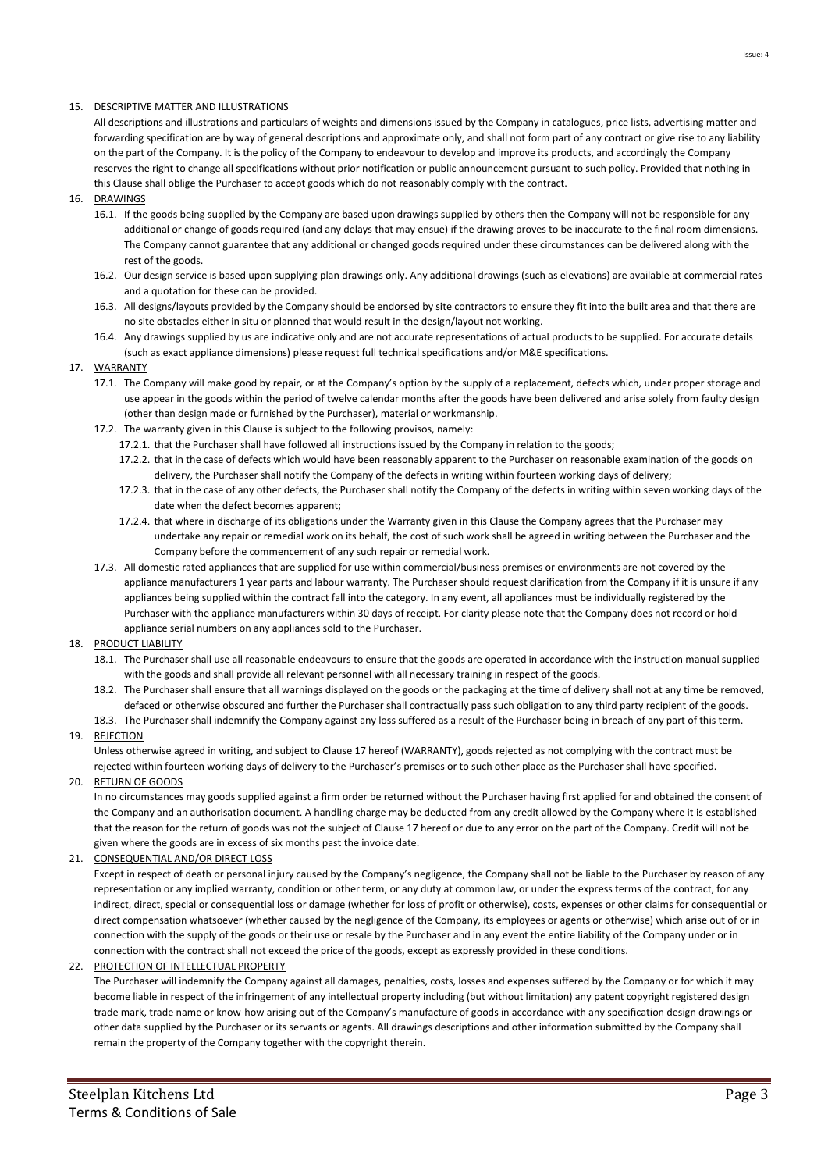# 15. DESCRIPTIVE MATTER AND ILLUSTRATIONS

All descriptions and illustrations and particulars of weights and dimensions issued by the Company in catalogues, price lists, advertising matter and forwarding specification are by way of general descriptions and approximate only, and shall not form part of any contract or give rise to any liability on the part of the Company. It is the policy of the Company to endeavour to develop and improve its products, and accordingly the Company reserves the right to change all specifications without prior notification or public announcement pursuant to such policy. Provided that nothing in this Clause shall oblige the Purchaser to accept goods which do not reasonably comply with the contract.

- 16. DRAWINGS
	- 16.1. If the goods being supplied by the Company are based upon drawings supplied by others then the Company will not be responsible for any additional or change of goods required (and any delays that may ensue) if the drawing proves to be inaccurate to the final room dimensions. The Company cannot guarantee that any additional or changed goods required under these circumstances can be delivered along with the rest of the goods.
	- 16.2. Our design service is based upon supplying plan drawings only. Any additional drawings (such as elevations) are available at commercial rates and a quotation for these can be provided.
	- 16.3. All designs/layouts provided by the Company should be endorsed by site contractors to ensure they fit into the built area and that there are no site obstacles either in situ or planned that would result in the design/layout not working.
	- 16.4. Any drawings supplied by us are indicative only and are not accurate representations of actual products to be supplied. For accurate details (such as exact appliance dimensions) please request full technical specifications and/or M&E specifications.
- 17. WARRANTY
	- 17.1. The Company will make good by repair, or at the Company's option by the supply of a replacement, defects which, under proper storage and use appear in the goods within the period of twelve calendar months after the goods have been delivered and arise solely from faulty design (other than design made or furnished by the Purchaser), material or workmanship.
	- 17.2. The warranty given in this Clause is subject to the following provisos, namely:
		- 17.2.1. that the Purchaser shall have followed all instructions issued by the Company in relation to the goods;
		- 17.2.2. that in the case of defects which would have been reasonably apparent to the Purchaser on reasonable examination of the goods on delivery, the Purchaser shall notify the Company of the defects in writing within fourteen working days of delivery;
		- 17.2.3. that in the case of any other defects, the Purchaser shall notify the Company of the defects in writing within seven working days of the date when the defect becomes apparent;
		- 17.2.4. that where in discharge of its obligations under the Warranty given in this Clause the Company agrees that the Purchaser may undertake any repair or remedial work on its behalf, the cost of such work shall be agreed in writing between the Purchaser and the Company before the commencement of any such repair or remedial work.
	- 17.3. All domestic rated appliances that are supplied for use within commercial/business premises or environments are not covered by the appliance manufacturers 1 year parts and labour warranty. The Purchaser should request clarification from the Company if it is unsure if any appliances being supplied within the contract fall into the category. In any event, all appliances must be individually registered by the Purchaser with the appliance manufacturers within 30 days of receipt. For clarity please note that the Company does not record or hold appliance serial numbers on any appliances sold to the Purchaser.
- 18. PRODUCT LIABILITY
	- 18.1. The Purchaser shall use all reasonable endeavours to ensure that the goods are operated in accordance with the instruction manual supplied with the goods and shall provide all relevant personnel with all necessary training in respect of the goods.
	- 18.2. The Purchaser shall ensure that all warnings displayed on the goods or the packaging at the time of delivery shall not at any time be removed, defaced or otherwise obscured and further the Purchaser shall contractually pass such obligation to any third party recipient of the goods.
	- 18.3. The Purchaser shall indemnify the Company against any loss suffered as a result of the Purchaser being in breach of any part of this term.
- 19. REJECTION

Unless otherwise agreed in writing, and subject to Clause 17 hereof (WARRANTY), goods rejected as not complying with the contract must be rejected within fourteen working days of delivery to the Purchaser's premises or to such other place as the Purchaser shall have specified.

20. RETURN OF GOODS

In no circumstances may goods supplied against a firm order be returned without the Purchaser having first applied for and obtained the consent of the Company and an authorisation document. A handling charge may be deducted from any credit allowed by the Company where it is established that the reason for the return of goods was not the subject of Clause 17 hereof or due to any error on the part of the Company. Credit will not be given where the goods are in excess of six months past the invoice date.

21. CONSEQUENTIAL AND/OR DIRECT LOSS

Except in respect of death or personal injury caused by the Company's negligence, the Company shall not be liable to the Purchaser by reason of any representation or any implied warranty, condition or other term, or any duty at common law, or under the express terms of the contract, for any indirect, direct, special or consequential loss or damage (whether for loss of profit or otherwise), costs, expenses or other claims for consequential or direct compensation whatsoever (whether caused by the negligence of the Company, its employees or agents or otherwise) which arise out of or in connection with the supply of the goods or their use or resale by the Purchaser and in any event the entire liability of the Company under or in connection with the contract shall not exceed the price of the goods, except as expressly provided in these conditions.

22. PROTECTION OF INTELLECTUAL PROPERTY

The Purchaser will indemnify the Company against all damages, penalties, costs, losses and expenses suffered by the Company or for which it may become liable in respect of the infringement of any intellectual property including (but without limitation) any patent copyright registered design trade mark, trade name or know-how arising out of the Company's manufacture of goods in accordance with any specification design drawings or other data supplied by the Purchaser or its servants or agents. All drawings descriptions and other information submitted by the Company shall remain the property of the Company together with the copyright therein.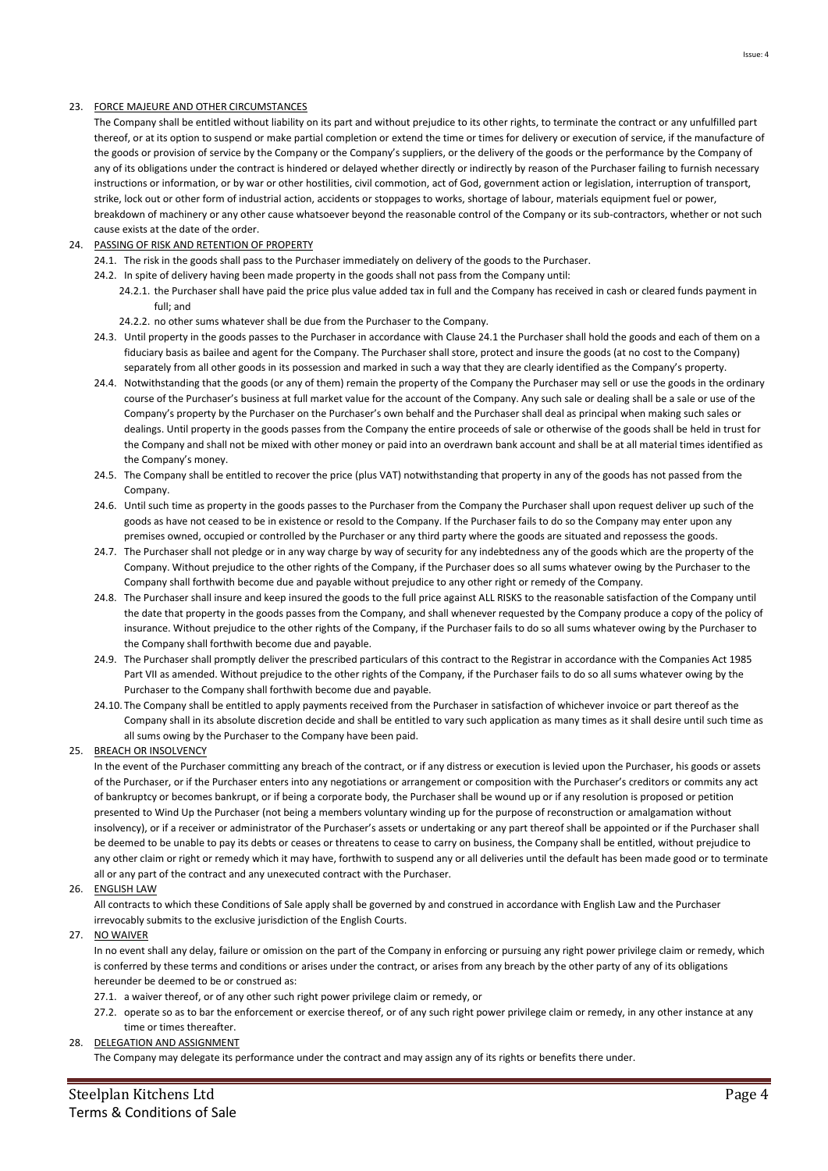# 23. FORCE MAJEURE AND OTHER CIRCUMSTANCES

The Company shall be entitled without liability on its part and without prejudice to its other rights, to terminate the contract or any unfulfilled part thereof, or at its option to suspend or make partial completion or extend the time or times for delivery or execution of service, if the manufacture of the goods or provision of service by the Company or the Company's suppliers, or the delivery of the goods or the performance by the Company of any of its obligations under the contract is hindered or delayed whether directly or indirectly by reason of the Purchaser failing to furnish necessary instructions or information, or by war or other hostilities, civil commotion, act of God, government action or legislation, interruption of transport, strike, lock out or other form of industrial action, accidents or stoppages to works, shortage of labour, materials equipment fuel or power, breakdown of machinery or any other cause whatsoever beyond the reasonable control of the Company or its sub-contractors, whether or not such cause exists at the date of the order.

# 24. PASSING OF RISK AND RETENTION OF PROPERTY

- 24.1. The risk in the goods shall pass to the Purchaser immediately on delivery of the goods to the Purchaser.
- 24.2. In spite of delivery having been made property in the goods shall not pass from the Company until:
	- 24.2.1. the Purchaser shall have paid the price plus value added tax in full and the Company has received in cash or cleared funds payment in full; and
	- 24.2.2. no other sums whatever shall be due from the Purchaser to the Company.
- 24.3. Until property in the goods passes to the Purchaser in accordance with Clause 24.1 the Purchaser shall hold the goods and each of them on a fiduciary basis as bailee and agent for the Company. The Purchaser shall store, protect and insure the goods (at no cost to the Company) separately from all other goods in its possession and marked in such a way that they are clearly identified as the Company's property.
- 24.4. Notwithstanding that the goods (or any of them) remain the property of the Company the Purchaser may sell or use the goods in the ordinary course of the Purchaser's business at full market value for the account of the Company. Any such sale or dealing shall be a sale or use of the Company's property by the Purchaser on the Purchaser's own behalf and the Purchaser shall deal as principal when making such sales or dealings. Until property in the goods passes from the Company the entire proceeds of sale or otherwise of the goods shall be held in trust for the Company and shall not be mixed with other money or paid into an overdrawn bank account and shall be at all material times identified as the Company's money.
- 24.5. The Company shall be entitled to recover the price (plus VAT) notwithstanding that property in any of the goods has not passed from the Company.
- 24.6. Until such time as property in the goods passes to the Purchaser from the Company the Purchaser shall upon request deliver up such of the goods as have not ceased to be in existence or resold to the Company. If the Purchaser fails to do so the Company may enter upon any premises owned, occupied or controlled by the Purchaser or any third party where the goods are situated and repossess the goods.
- 24.7. The Purchaser shall not pledge or in any way charge by way of security for any indebtedness any of the goods which are the property of the Company. Without prejudice to the other rights of the Company, if the Purchaser does so all sums whatever owing by the Purchaser to the Company shall forthwith become due and payable without prejudice to any other right or remedy of the Company.
- 24.8. The Purchaser shall insure and keep insured the goods to the full price against ALL RISKS to the reasonable satisfaction of the Company until the date that property in the goods passes from the Company, and shall whenever requested by the Company produce a copy of the policy of insurance. Without prejudice to the other rights of the Company, if the Purchaser fails to do so all sums whatever owing by the Purchaser to the Company shall forthwith become due and payable.
- 24.9. The Purchaser shall promptly deliver the prescribed particulars of this contract to the Registrar in accordance with the Companies Act 1985 Part VII as amended. Without prejudice to the other rights of the Company, if the Purchaser fails to do so all sums whatever owing by the Purchaser to the Company shall forthwith become due and payable.
- 24.10. The Company shall be entitled to apply payments received from the Purchaser in satisfaction of whichever invoice or part thereof as the Company shall in its absolute discretion decide and shall be entitled to vary such application as many times as it shall desire until such time as all sums owing by the Purchaser to the Company have been paid.

## 25. BREACH OR INSOLVENCY

In the event of the Purchaser committing any breach of the contract, or if any distress or execution is levied upon the Purchaser, his goods or assets of the Purchaser, or if the Purchaser enters into any negotiations or arrangement or composition with the Purchaser's creditors or commits any act of bankruptcy or becomes bankrupt, or if being a corporate body, the Purchaser shall be wound up or if any resolution is proposed or petition presented to Wind Up the Purchaser (not being a members voluntary winding up for the purpose of reconstruction or amalgamation without insolvency), or if a receiver or administrator of the Purchaser's assets or undertaking or any part thereof shall be appointed or if the Purchaser shall be deemed to be unable to pay its debts or ceases or threatens to cease to carry on business, the Company shall be entitled, without prejudice to any other claim or right or remedy which it may have, forthwith to suspend any or all deliveries until the default has been made good or to terminate all or any part of the contract and any unexecuted contract with the Purchaser.

#### 26. ENGLISH LAW

All contracts to which these Conditions of Sale apply shall be governed by and construed in accordance with English Law and the Purchaser irrevocably submits to the exclusive jurisdiction of the English Courts.

#### 27. NO WAIVER

In no event shall any delay, failure or omission on the part of the Company in enforcing or pursuing any right power privilege claim or remedy, which is conferred by these terms and conditions or arises under the contract, or arises from any breach by the other party of any of its obligations hereunder be deemed to be or construed as:

- 27.1. a waiver thereof, or of any other such right power privilege claim or remedy, or
- 27.2. operate so as to bar the enforcement or exercise thereof, or of any such right power privilege claim or remedy, in any other instance at any time or times thereafter.
- 28. DELEGATION AND ASSIGNMENT

The Company may delegate its performance under the contract and may assign any of its rights or benefits there under.